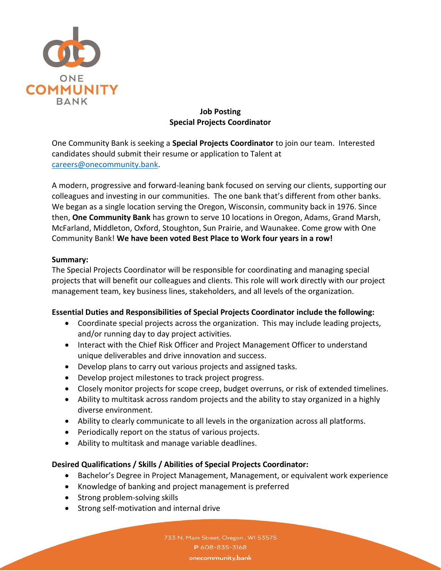

# **Job Posting Special Projects Coordinator**

One Community Bank is seeking a **Special Projects Coordinator** to join our team. Interested candidates should submit their resume or application to Talent at [careers@onecommunity.bank.](mailto:careers@onecommunity.bank)

A modern, progressive and forward-leaning bank focused on serving our clients, supporting our colleagues and investing in our communities. The one bank that's different from other banks. We began as a single location serving the Oregon, Wisconsin, community back in 1976. Since then, **One Community Bank** has grown to serve 10 locations in Oregon, Adams, Grand Marsh, McFarland, Middleton, Oxford, Stoughton, Sun Prairie, and Waunakee. Come grow with One Community Bank! **We have been voted Best Place to Work four years in a row!**

#### **Summary:**

The Special Projects Coordinator will be responsible for coordinating and managing special projects that will benefit our colleagues and clients. This role will work directly with our project management team, key business lines, stakeholders, and all levels of the organization.

# **Essential Duties and Responsibilities of Special Projects Coordinator include the following:**

- Coordinate special projects across the organization. This may include leading projects, and/or running day to day project activities.
- Interact with the Chief Risk Officer and Project Management Officer to understand unique deliverables and drive innovation and success.
- Develop plans to carry out various projects and assigned tasks.
- Develop project milestones to track project progress.
- Closely monitor projects for scope creep, budget overruns, or risk of extended timelines.
- Ability to multitask across random projects and the ability to stay organized in a highly diverse environment.
- Ability to clearly communicate to all levels in the organization across all platforms.
- Periodically report on the status of various projects.
- Ability to multitask and manage variable deadlines.

# **Desired Qualifications / Skills / Abilities of Special Projects Coordinator:**

- Bachelor's Degree in Project Management, Management, or equivalent work experience
- Knowledge of banking and project management is preferred
- Strong problem-solving skills
- Strong self-motivation and internal drive

733 N. Main Street, Oregon, WI 53575 P 608-835-3168 onecommunity.bank